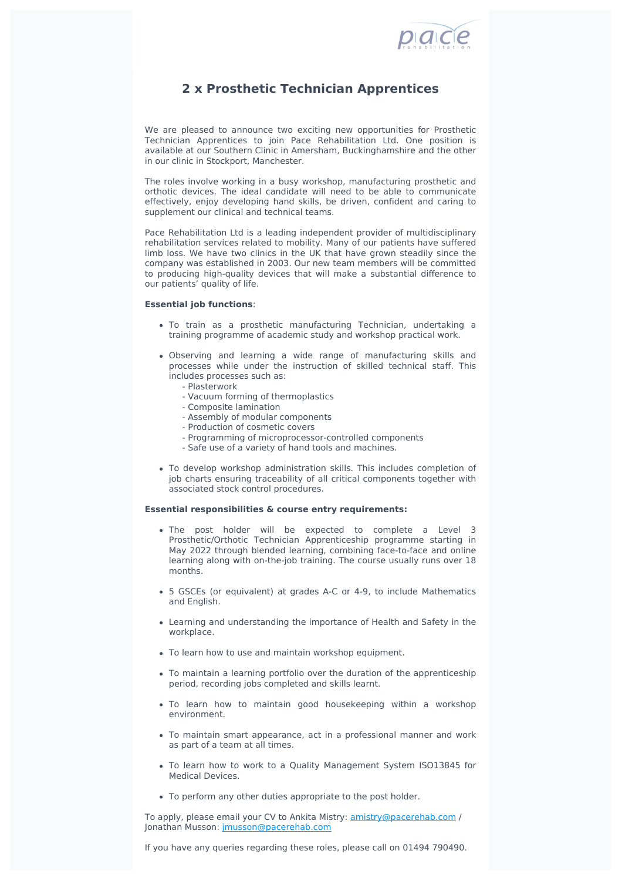

## **2 x Prosthetic Technician Apprentices**

We are pleased to announce two exciting new opportunities for Prosthetic Technician Apprentices to join Pace Rehabilitation Ltd. One position is available at our Southern Clinic in Amersham, Buckinghamshire and the other in our clinic in Stockport, Manchester.

The roles involve working in a busy workshop, manufacturing prosthetic and orthotic devices. The ideal candidate will need to be able to communicate effectively, enjoy developing hand skills, be driven, confident and caring to supplement our clinical and technical teams.

Pace Rehabilitation Ltd is a leading independent provider of multidisciplinary rehabilitation services related to mobility. Many of our patients have suffered limb loss. We have two clinics in the UK that have grown steadily since the company was established in 2003. Our new team members will be committed to producing high-quality devices that will make a substantial difference to our patients' quality of life.

## **Essential job functions**:

- To train as a prosthetic manufacturing Technician, undertaking a training programme of academic study and workshop practical work.
- Observing and learning a wide range of manufacturing skills and processes while under the instruction of skilled technical staff. This includes processes such as:
	- Plasterwork
	- Vacuum forming of thermoplastics
	- Composite lamination
	- Assembly of modular components
	- Production of cosmetic covers
	- Programming of microprocessor-controlled components
	- Safe use of a variety of hand tools and machines.
- To develop workshop administration skills. This includes completion of job charts ensuring traceability of all critical components together with associated stock control procedures.

## **Essential responsibilities & course entry requirements:**

- The post holder will be expected to complete a Level 3 Prosthetic/Orthotic Technician Apprenticeship programme starting in May 2022 through blended learning, combining face-to-face and online learning along with on-the-job training. The course usually runs over 18 months.
- 5 GSCEs (or equivalent) at grades A-C or 4-9, to include Mathematics and English.
- Learning and understanding the importance of Health and Safety in the workplace.
- To learn how to use and maintain workshop equipment.
- To maintain a learning portfolio over the duration of the apprenticeship period, recording jobs completed and skills learnt.
- To learn how to maintain good housekeeping within a workshop environment.
- To maintain smart appearance, act in a professional manner and work as part of a team at all times.
- To learn how to work to a Quality Management System ISO13845 for Medical Devices.
- To perform any other duties appropriate to the post holder.

To apply, please email your CV to Ankita Mistry: **[amistry@pacerehab.com](mailto:amistry@pacerehab.com?subject=Job%20Advert-%20Prosthetic%20Technician%20Apprentices)** / Jonathan Musson: [jmusson@pacerehab.com](mailto:jmusson@pacerehab.com%20%20?subject=Job%20Advert-%20Prosthetic%20Technician%20Apprentices)

If you have any queries regarding these roles, please call on 01494 790490.